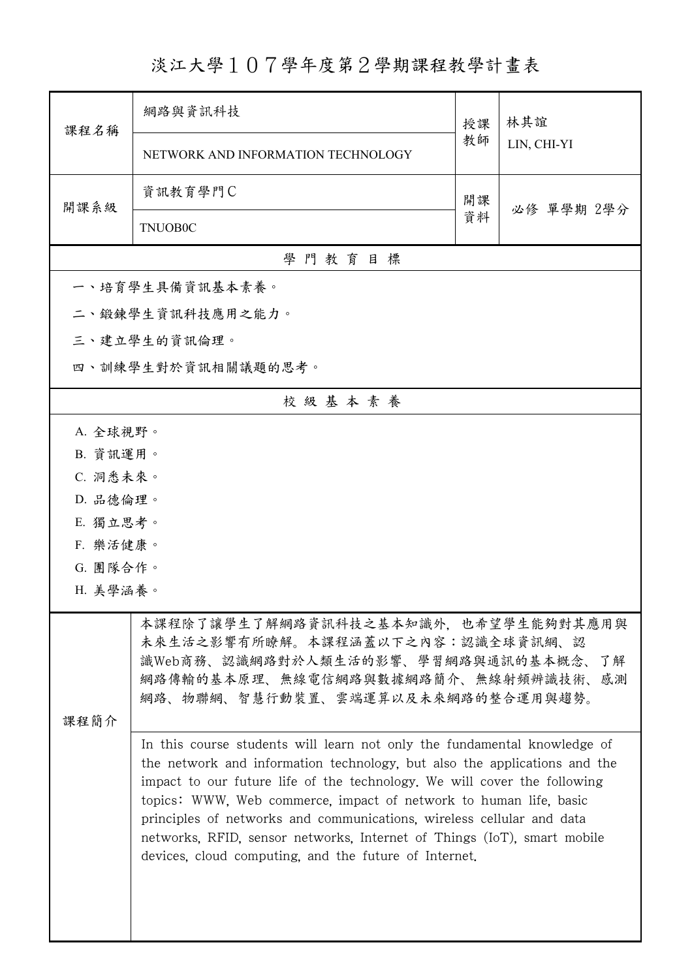## 淡江大學107學年度第2學期課程教學計畫表

| 課程名稱                 | 網路與資訊科技                                                                                                                                                                                                                                                                                                                                                                                                                                                                                                                                                                                                                                                                                                                | 授課 | 林其誼<br>LIN, CHI-YI |  |  |  |
|----------------------|------------------------------------------------------------------------------------------------------------------------------------------------------------------------------------------------------------------------------------------------------------------------------------------------------------------------------------------------------------------------------------------------------------------------------------------------------------------------------------------------------------------------------------------------------------------------------------------------------------------------------------------------------------------------------------------------------------------------|----|--------------------|--|--|--|
|                      | NETWORK AND INFORMATION TECHNOLOGY                                                                                                                                                                                                                                                                                                                                                                                                                                                                                                                                                                                                                                                                                     | 教師 |                    |  |  |  |
| 開課系級                 | 資訊教育學門C                                                                                                                                                                                                                                                                                                                                                                                                                                                                                                                                                                                                                                                                                                                | 開課 |                    |  |  |  |
|                      | <b>TNUOB0C</b>                                                                                                                                                                                                                                                                                                                                                                                                                                                                                                                                                                                                                                                                                                         | 資料 | 必修 單學期 2學分         |  |  |  |
|                      | 學門教育目標                                                                                                                                                                                                                                                                                                                                                                                                                                                                                                                                                                                                                                                                                                                 |    |                    |  |  |  |
|                      | 一、培育學生具備資訊基本素養。                                                                                                                                                                                                                                                                                                                                                                                                                                                                                                                                                                                                                                                                                                        |    |                    |  |  |  |
|                      | 二、鍛鍊學生資訊科技應用之能力。                                                                                                                                                                                                                                                                                                                                                                                                                                                                                                                                                                                                                                                                                                       |    |                    |  |  |  |
|                      | 三、建立學生的資訊倫理。                                                                                                                                                                                                                                                                                                                                                                                                                                                                                                                                                                                                                                                                                                           |    |                    |  |  |  |
|                      | 四、訓練學生對於資訊相關議題的思考。                                                                                                                                                                                                                                                                                                                                                                                                                                                                                                                                                                                                                                                                                                     |    |                    |  |  |  |
|                      | 校級基本素養                                                                                                                                                                                                                                                                                                                                                                                                                                                                                                                                                                                                                                                                                                                 |    |                    |  |  |  |
| A. 全球視野。             |                                                                                                                                                                                                                                                                                                                                                                                                                                                                                                                                                                                                                                                                                                                        |    |                    |  |  |  |
| B. 資訊運用。             |                                                                                                                                                                                                                                                                                                                                                                                                                                                                                                                                                                                                                                                                                                                        |    |                    |  |  |  |
| C. 洞悉未來。             |                                                                                                                                                                                                                                                                                                                                                                                                                                                                                                                                                                                                                                                                                                                        |    |                    |  |  |  |
| D. 品德倫理。             |                                                                                                                                                                                                                                                                                                                                                                                                                                                                                                                                                                                                                                                                                                                        |    |                    |  |  |  |
| E. 獨立思考。             |                                                                                                                                                                                                                                                                                                                                                                                                                                                                                                                                                                                                                                                                                                                        |    |                    |  |  |  |
| F. 樂活健康。             |                                                                                                                                                                                                                                                                                                                                                                                                                                                                                                                                                                                                                                                                                                                        |    |                    |  |  |  |
| G. 團隊合作。<br>H. 美學涵養。 |                                                                                                                                                                                                                                                                                                                                                                                                                                                                                                                                                                                                                                                                                                                        |    |                    |  |  |  |
|                      |                                                                                                                                                                                                                                                                                                                                                                                                                                                                                                                                                                                                                                                                                                                        |    |                    |  |  |  |
| 课程简介                 | 本課程除了讓學生了解網路資訊科技之基本知識外,也希望學生能夠對其應用與<br>未來生活之影響有所瞭解。本課程涵蓋以下之內容:認識全球資訊網、認<br>識Web商務、認識網路對於人類生活的影響、學習網路與通訊的基本概念、<br>了解<br>網路傳輸的基本原理、無線電信網路與數據網路簡介、無線射頻辨識技術、感測<br>網路、物聯網、智慧行動裝置、雲端運算以及未來網路的整合運用與趨勢。<br>In this course students will learn not only the fundamental knowledge of<br>the network and information technology, but also the applications and the<br>impact to our future life of the technology. We will cover the following<br>topics: WWW, Web commerce, impact of network to human life, basic<br>principles of networks and communications, wireless cellular and data<br>networks, RFID, sensor networks, Internet of Things (IoT), smart mobile<br>devices, cloud computing, and the future of Internet. |    |                    |  |  |  |
|                      |                                                                                                                                                                                                                                                                                                                                                                                                                                                                                                                                                                                                                                                                                                                        |    |                    |  |  |  |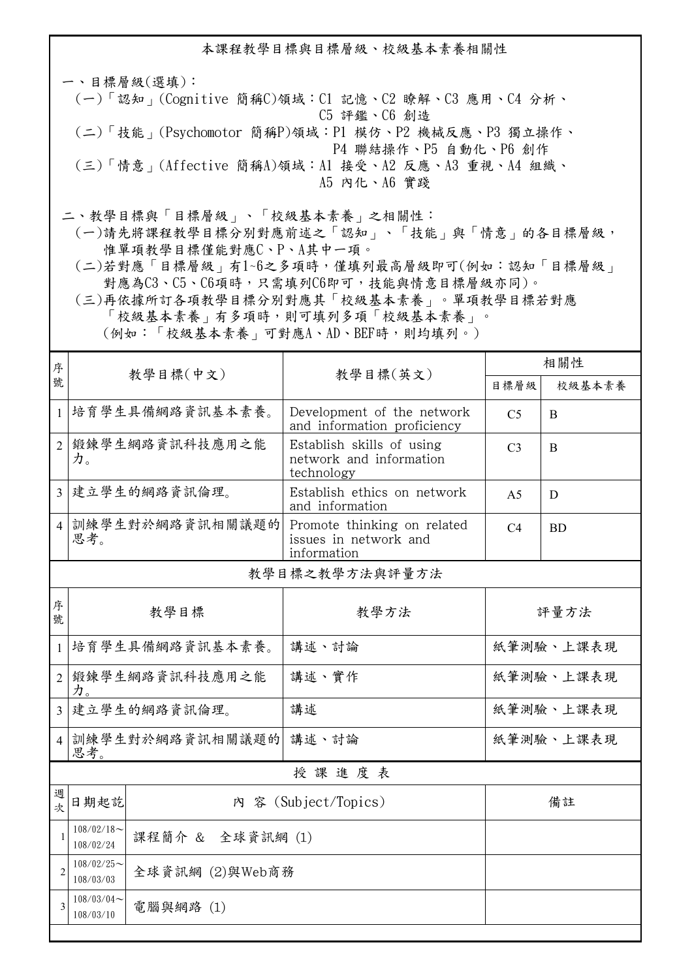本課程教學目標與目標層級、校級基本素養相關性

一、目標層級(選填): (一)「認知」(Cognitive 簡稱C)領域:C1 記憶、C2 瞭解、C3 應用、C4 分析、 C5 評鑑、C6 創造 (二)「技能」(Psychomotor 簡稱P)領域:P1 模仿、P2 機械反應、P3 獨立操作、 P4 聯結操作、P5 自動化、P6 創作

 (三)「情意」(Affective 簡稱A)領域:A1 接受、A2 反應、A3 重視、A4 組織、 A5 內化、A6 實踐

二、教學目標與「目標層級」、「校級基本素養」之相關性:

 (一)請先將課程教學目標分別對應前述之「認知」、「技能」與「情意」的各目標層級, 惟單項教學目標僅能對應C、P、A其中一項。

 (二)若對應「目標層級」有1~6之多項時,僅填列最高層級即可(例如:認知「目標層級」 對應為C3、C5、C6項時,只需填列C6即可,技能與情意目標層級亦同)。

 (三)再依據所訂各項教學目標分別對應其「校級基本素養」。單項教學目標若對應 「校級基本素養」有多項時,則可填列多項「校級基本素養」。 (例如:「校級基本素養」可對應A、AD、BEF時,則均填列。)

| 序                        |                                                |                 | 教學目標(英文)                                                            | 相關性                            |           |  |
|--------------------------|------------------------------------------------|-----------------|---------------------------------------------------------------------|--------------------------------|-----------|--|
| 號                        |                                                | 教學目標(中文)        |                                                                     | 目標層級                           | 校級基本素養    |  |
| $\mathbf{1}$             |                                                | 培育學生具備網路資訊基本素養。 | Development of the network<br>and information proficiency           | C <sub>5</sub><br>B            |           |  |
| $\overline{2}$           | 鍛鍊學生網路資訊科技應用之能<br>力。                           |                 | Establish skills of using<br>network and information<br>technology  | C <sub>3</sub><br>$\mathbf{B}$ |           |  |
| $\overline{3}$           | 建立學生的網路資訊倫理。                                   |                 | Establish ethics on network<br>and information                      | A <sub>5</sub>                 | D         |  |
| $\overline{4}$           | 訓練學生對於網路資訊相關議題的<br>思考。                         |                 | Promote thinking on related<br>issues in network and<br>information | C4                             | <b>BD</b> |  |
|                          |                                                |                 | 教學目標之教學方法與評量方法                                                      |                                |           |  |
| 序<br>號                   | 教學目標                                           |                 | 教學方法                                                                | 評量方法                           |           |  |
| $\mathbf{1}$             | 培育學生具備網路資訊基本素養。                                |                 | 講述、討論                                                               | 紙筆測驗、上課表現                      |           |  |
| $\overline{2}$           | 鍛鍊學生網路資訊科技應用之能<br>力。                           |                 | 講述、實作                                                               | 紙筆測驗、上課表現                      |           |  |
| $\overline{\mathcal{E}}$ | 建立學生的網路資訊倫理。                                   |                 | 講述                                                                  | 紙筆測驗、上課表現                      |           |  |
| 4 <sup>1</sup>           | 訓練學生對於網路資訊相關議題的 講述、討論<br>思考。                   |                 |                                                                     | 紙筆測驗、上課表現                      |           |  |
| 授課進度表                    |                                                |                 |                                                                     |                                |           |  |
| 週<br>字                   | 日期起訖                                           |                 | 內 容 (Subject/Topics)                                                | 備註                             |           |  |
| $\mathbf{1}$             | $108/02/18$ ~<br>課程簡介 & 全球資訊網 (1)<br>108/02/24 |                 |                                                                     |                                |           |  |
| $\overline{2}$           | $108/02/25$ ~<br>全球資訊網 (2)與Web商務<br>108/03/03  |                 |                                                                     |                                |           |  |
| 3                        | $108/03/04$ ~<br>電腦與網路(1)<br>108/03/10         |                 |                                                                     |                                |           |  |
|                          |                                                |                 |                                                                     |                                |           |  |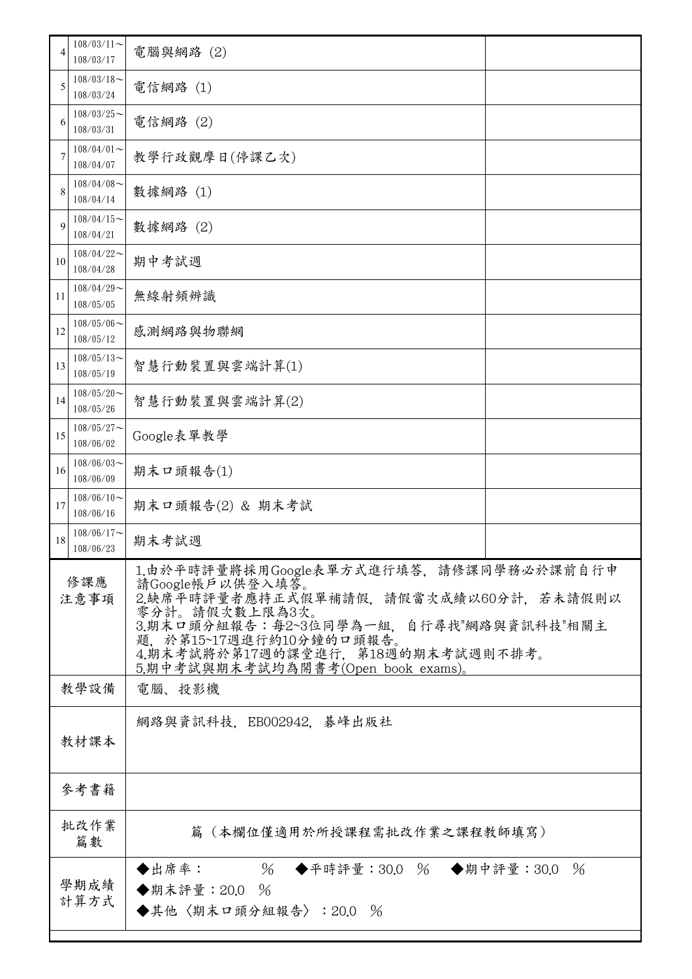| 4           | $108/03/11$ ~<br>108/03/17                                                                 | 電腦與網路 (2)                                                                                                                                                                                                                                                               |  |  |
|-------------|--------------------------------------------------------------------------------------------|-------------------------------------------------------------------------------------------------------------------------------------------------------------------------------------------------------------------------------------------------------------------------|--|--|
| 5           | $108/03/18$ ~<br>108/03/24                                                                 | 電信網路 (1)                                                                                                                                                                                                                                                                |  |  |
| 6           | $108/03/25$ ~<br>108/03/31                                                                 | 電信網路 (2)                                                                                                                                                                                                                                                                |  |  |
|             | $108/04/01$ ~<br>108/04/07                                                                 | 教學行政觀摩日(停課乙次)                                                                                                                                                                                                                                                           |  |  |
| 8           | $108/04/08$ ~<br>108/04/14                                                                 | 數據網路 (1)                                                                                                                                                                                                                                                                |  |  |
| 9           | $108/04/15$ ~<br>108/04/21                                                                 | 數據網路(2)                                                                                                                                                                                                                                                                 |  |  |
| 10          | $108/04/22$ ~<br>108/04/28                                                                 | 期中考試週                                                                                                                                                                                                                                                                   |  |  |
| 11          | $108/04/29$ ~<br>108/05/05                                                                 | 無線射頻辨識                                                                                                                                                                                                                                                                  |  |  |
| 12          | $108/05/06$ ~<br>108/05/12                                                                 | 感測網路與物聯網                                                                                                                                                                                                                                                                |  |  |
| 13          | $108/05/13$ ~<br>108/05/19                                                                 | 智慧行動裝置與雲端計算(1)                                                                                                                                                                                                                                                          |  |  |
| 14          | $108/05/20$ ~<br>108/05/26                                                                 | 智慧行動裝置與雲端計算(2)                                                                                                                                                                                                                                                          |  |  |
| 15          | $108/05/27$ ~<br>108/06/02                                                                 | Google表單教學                                                                                                                                                                                                                                                              |  |  |
| 16          | $108/06/03$ ~<br>108/06/09                                                                 | 期末口頭報告(1)                                                                                                                                                                                                                                                               |  |  |
| 17          | $108/06/10$ ~<br>108/06/16                                                                 | 期末口頭報告(2) & 期末考試                                                                                                                                                                                                                                                        |  |  |
| 18          | $108/06/17$ ~<br>108/06/23                                                                 | 期末考試週                                                                                                                                                                                                                                                                   |  |  |
| 修課應<br>注意事項 |                                                                                            | 1.由於平時評量將採用Google表單方式進行填答,請修課同學務必於課前自行申<br>請Google帳戶以供登入填答。<br>2.缺席平時評量者應持正式假單補請假,請假當次成績以60分計,若未請假則以<br>零分計。請假次數上限為3次。<br>3.期末口頭分組報告:每2~3位同學為一組,自行尋找"網路與資訊科技"相關主<br>題, 於第15~17週進行約10分鐘的口頭報告。<br>4.期末考試將於第17週的課堂進行,第18週的期末考試週則不排考。<br>5.期中考試與期末考試均為開書考(Open book exams)。 |  |  |
|             | 教學設備<br>電腦、投影機                                                                             |                                                                                                                                                                                                                                                                         |  |  |
|             | 教材課本                                                                                       | 網路與資訊科技,EB002942,碁峰出版社                                                                                                                                                                                                                                                  |  |  |
|             | 參考書籍                                                                                       |                                                                                                                                                                                                                                                                         |  |  |
|             | 批改作業<br>篇數                                                                                 | 篇(本欄位僅適用於所授課程需批改作業之課程教師填寫)                                                                                                                                                                                                                                              |  |  |
|             | ◆出席率: 26 ◆平時評量:30.0 % ◆期中評量:30.0 %<br>學期成績<br>◆期末評量:20.0 %<br>計算方式<br>◆其他〈期末口頭分組報告〉:20.0 % |                                                                                                                                                                                                                                                                         |  |  |